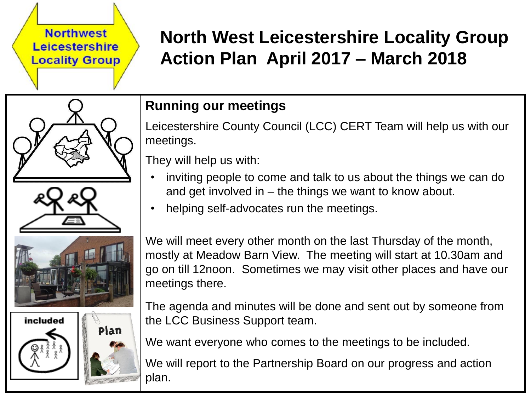#### **Northwest** Leicestershire **Locality Group**

# **North West Leicestershire Locality Group Action Plan April 2017 – March 2018**





# **Running our meetings**

Leicestershire County Council (LCC) CERT Team will help us with our meetings.

They will help us with:

- inviting people to come and talk to us about the things we can do and get involved in – the things we want to know about.
- helping self-advocates run the meetings.

We will meet every other month on the last Thursday of the month, mostly at Meadow Barn View. The meeting will start at 10.30am and go on till 12noon. Sometimes we may visit other places and have our meetings there.

The agenda and minutes will be done and sent out by someone from the LCC Business Support team.

We want everyone who comes to the meetings to be included.

We will report to the Partnership Board on our progress and action plan.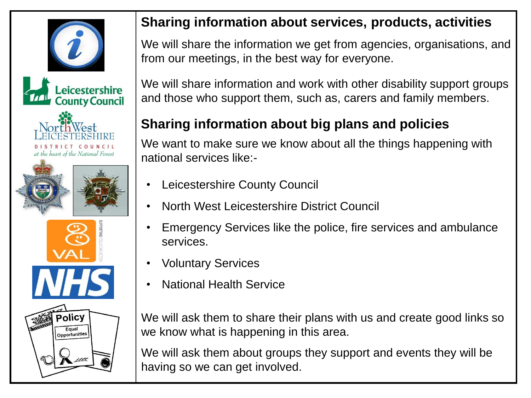



## **Sharing information about services, products, activities**

We will share the information we get from agencies, organisations, and from our meetings, in the best way for everyone.

We will share information and work with other disability support groups and those who support them, such as, carers and family members.

# **Sharing information about big plans and policies**

We want to make sure we know about all the things happening with national services like:-

- Leicestershire County Council
- North West Leicestershire District Council
- Emergency Services like the police, fire services and ambulance services.
- Voluntary Services
- National Health Service

We will ask them to share their plans with us and create good links so we know what is happening in this area.

We will ask them about groups they support and events they will be having so we can get involved.